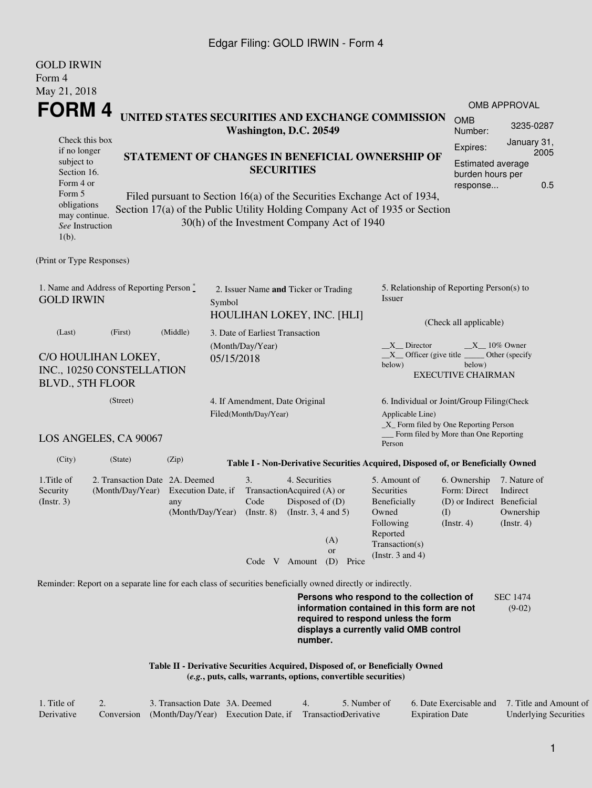#### Edgar Filing: GOLD IRWIN - Form 4

| <b>GOLD IRWIN</b>                                                                                                                                                                                                                                                             |                                                                                                             |                           |                                |                                                                                                         |                                                                |                                                 |                                                                                                                                                                         |                                                                                                      |                                                           |  |  |
|-------------------------------------------------------------------------------------------------------------------------------------------------------------------------------------------------------------------------------------------------------------------------------|-------------------------------------------------------------------------------------------------------------|---------------------------|--------------------------------|---------------------------------------------------------------------------------------------------------|----------------------------------------------------------------|-------------------------------------------------|-------------------------------------------------------------------------------------------------------------------------------------------------------------------------|------------------------------------------------------------------------------------------------------|-----------------------------------------------------------|--|--|
| Form 4                                                                                                                                                                                                                                                                        |                                                                                                             |                           |                                |                                                                                                         |                                                                |                                                 |                                                                                                                                                                         |                                                                                                      |                                                           |  |  |
| May 21, 2018                                                                                                                                                                                                                                                                  |                                                                                                             |                           |                                |                                                                                                         |                                                                |                                                 |                                                                                                                                                                         |                                                                                                      |                                                           |  |  |
| <b>FORM4</b>                                                                                                                                                                                                                                                                  |                                                                                                             |                           |                                |                                                                                                         |                                                                |                                                 |                                                                                                                                                                         |                                                                                                      | <b>OMB APPROVAL</b>                                       |  |  |
|                                                                                                                                                                                                                                                                               |                                                                                                             |                           |                                | Washington, D.C. 20549                                                                                  |                                                                |                                                 | UNITED STATES SECURITIES AND EXCHANGE COMMISSION                                                                                                                        | <b>OMB</b><br>Number:                                                                                | 3235-0287                                                 |  |  |
| if no longer                                                                                                                                                                                                                                                                  | Check this box                                                                                              |                           |                                |                                                                                                         |                                                                |                                                 |                                                                                                                                                                         |                                                                                                      | January 31,                                               |  |  |
| subject to<br>Section 16.<br>Form 4 or                                                                                                                                                                                                                                        |                                                                                                             |                           |                                | <b>SECURITIES</b>                                                                                       |                                                                | STATEMENT OF CHANGES IN BENEFICIAL OWNERSHIP OF | Expires:<br><b>Estimated average</b><br>burden hours per<br>response                                                                                                    | 2005<br>0.5                                                                                          |                                                           |  |  |
| Form 5<br>Filed pursuant to Section 16(a) of the Securities Exchange Act of 1934,<br>obligations<br>Section 17(a) of the Public Utility Holding Company Act of 1935 or Section<br>may continue.<br>30(h) of the Investment Company Act of 1940<br>See Instruction<br>$1(b)$ . |                                                                                                             |                           |                                |                                                                                                         |                                                                |                                                 |                                                                                                                                                                         |                                                                                                      |                                                           |  |  |
| (Print or Type Responses)                                                                                                                                                                                                                                                     |                                                                                                             |                           |                                |                                                                                                         |                                                                |                                                 |                                                                                                                                                                         |                                                                                                      |                                                           |  |  |
| 1. Name and Address of Reporting Person $\degree$<br><b>GOLD IRWIN</b>                                                                                                                                                                                                        | 2. Issuer Name and Ticker or Trading<br>Symbol                                                              |                           |                                |                                                                                                         | 5. Relationship of Reporting Person(s) to<br>Issuer            |                                                 |                                                                                                                                                                         |                                                                                                      |                                                           |  |  |
|                                                                                                                                                                                                                                                                               |                                                                                                             |                           | HOULIHAN LOKEY, INC. [HLI]     |                                                                                                         |                                                                |                                                 |                                                                                                                                                                         |                                                                                                      | (Check all applicable)                                    |  |  |
| (Last)                                                                                                                                                                                                                                                                        | (First)                                                                                                     | (Middle)                  |                                | 3. Date of Earliest Transaction                                                                         |                                                                |                                                 |                                                                                                                                                                         |                                                                                                      |                                                           |  |  |
| C/O HOULIHAN LOKEY,<br>INC., 10250 CONSTELLATION<br><b>BLVD., 5TH FLOOR</b>                                                                                                                                                                                                   |                                                                                                             |                           | (Month/Day/Year)<br>05/15/2018 |                                                                                                         |                                                                |                                                 | X Director<br>below)                                                                                                                                                    | $X = 10\%$ Owner<br>$X$ Officer (give title<br>Other (specify<br>below)<br><b>EXECUTIVE CHAIRMAN</b> |                                                           |  |  |
| (Street)<br>4. If Amendment, Date Original<br>Filed(Month/Day/Year)                                                                                                                                                                                                           |                                                                                                             |                           |                                | 6. Individual or Joint/Group Filing(Check<br>Applicable Line)<br>_X_ Form filed by One Reporting Person |                                                                |                                                 |                                                                                                                                                                         |                                                                                                      |                                                           |  |  |
|                                                                                                                                                                                                                                                                               | LOS ANGELES, CA 90067                                                                                       |                           |                                |                                                                                                         |                                                                |                                                 | Person                                                                                                                                                                  | Form filed by More than One Reporting                                                                |                                                           |  |  |
| (City)                                                                                                                                                                                                                                                                        | (State)                                                                                                     | (Zip)                     |                                |                                                                                                         |                                                                |                                                 | Table I - Non-Derivative Securities Acquired, Disposed of, or Beneficially Owned                                                                                        |                                                                                                      |                                                           |  |  |
| 1. Title of<br>Security<br>$($ Instr. 3 $)$                                                                                                                                                                                                                                   | 2. Transaction Date 2A. Deemed<br>(Month/Day/Year)                                                          | Execution Date, if<br>any |                                | 3.<br>TransactionAcquired (A) or<br>Code<br>$(Month/Day/Year)$ (Instr. 8)                               | 4. Securities<br>Disposed of $(D)$<br>(Instr. $3, 4$ and $5$ ) |                                                 | 5. Amount of<br>Securities<br>Beneficially<br>Owned<br>Following<br>Reported                                                                                            | 6. Ownership<br>Form: Direct<br>(D) or Indirect Beneficial<br>(I)<br>(Insert. 4)                     | 7. Nature of<br>Indirect<br>Ownership<br>$($ Instr. 4 $)$ |  |  |
|                                                                                                                                                                                                                                                                               |                                                                                                             |                           |                                | Code V Amount                                                                                           |                                                                | (A)<br><b>or</b><br>(D)<br>Price                | Transaction(s)<br>(Instr. $3$ and $4$ )                                                                                                                                 |                                                                                                      |                                                           |  |  |
|                                                                                                                                                                                                                                                                               | Reminder: Report on a separate line for each class of securities beneficially owned directly or indirectly. |                           |                                |                                                                                                         |                                                                |                                                 |                                                                                                                                                                         |                                                                                                      |                                                           |  |  |
|                                                                                                                                                                                                                                                                               |                                                                                                             |                           |                                |                                                                                                         | number.                                                        |                                                 | Persons who respond to the collection of<br>information contained in this form are not<br>required to respond unless the form<br>displays a currently valid OMB control |                                                                                                      | <b>SEC 1474</b><br>$(9-02)$                               |  |  |
|                                                                                                                                                                                                                                                                               |                                                                                                             |                           |                                |                                                                                                         |                                                                |                                                 |                                                                                                                                                                         |                                                                                                      |                                                           |  |  |

**Table II - Derivative Securities Acquired, Disposed of, or Beneficially Owned (***e.g.***, puts, calls, warrants, options, convertible securities)**

| 1. Title of | 3. Transaction Date 3A. Deemed                                       |  | 5. Number of | 6. Date Exercisable and 7. Title and Amount of |                              |
|-------------|----------------------------------------------------------------------|--|--------------|------------------------------------------------|------------------------------|
| Derivative  | Conversion (Month/Day/Year) Execution Date, if TransactionDerivative |  |              | <b>Expiration Date</b>                         | <b>Underlying Securities</b> |